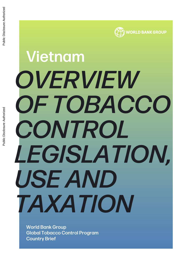# *OVERVIEW OF TOBACCO CONTROL LEGISLATION, USE AND TAXATION* Vietnam Public Disclosure Authorized

WORLD BANK GROUP

World Bank Group Global Tobacco Control Program Country Brief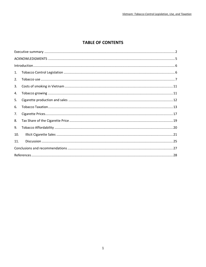## **TABLE OF CONTENTS**

| 1.  |  |
|-----|--|
| 2.  |  |
| 3.  |  |
| 4.  |  |
| 5.  |  |
| 6.  |  |
| 7.  |  |
| 8.  |  |
| 9.  |  |
| 10. |  |
| 11. |  |
|     |  |
|     |  |
|     |  |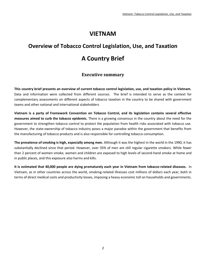## **VIETNAM**

## **Overview of Tobacco Control Legislation, Use, and Taxation A Country Brief**

## **Executive summary**

<span id="page-2-0"></span>**This country brief presents an overview of current tobacco control legislation, use, and taxation policy in Vietnam.** Data and information were collected from different sources. The brief is intended to serve as the context for complementary assessments on different aspects of tobacco taxation in the country to be shared with government teams and other national and international stakeholders

**Vietnam is a party of Framework Convention on Tobacco Control, and its legislation contains several effective measures aimed to curb the tobacco epidemic.** There is a growing consensus in the country about the need for the government to strengthen tobacco control to protect the population from health risks associated with tobacco use. However, the state-ownership of tobacco industry poses a major paradox within the government that benefits from the manufacturing of tobacco products and is also responsible for controlling tobacco consumption.

**The prevalence of smoking is high, especially among men.** Although it was the highest in the world in the 1990, it has substantially declined since that period. However, over 35% of men are still regular cigarette smokers. While fewer than 2 percent of women smoke, women and children are exposed to high levels of second-hand smoke at home and in public places, and this exposure also harms and kills.

**It is estimated that 40,000 people are dying prematurely each year in Vietnam from tobacco-related diseases.** In Vietnam, as in other countries across the world, smoking-related illnesses cost millions of dollars each year, both in terms of direct medical costs and productivity losses, imposing a heavy economic toll on households and governments.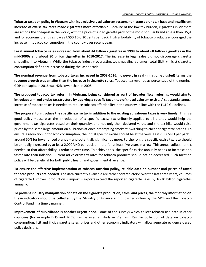**Tobacco taxation policy in Vietnam with its exclusively ad valorem system, non-transparent tax base and insufficient increase of excise tax rates made cigarettes more affordable.** Because of the low tax burden, cigarettes in Vietnam are among the cheapest in the world, with the price of a 20-cigarette pack of the most popular brand at less than US\$1 and for economy brands as low as US\$0.15-0.20 cents per pack. High affordability of tobacco products encouraged the increase in tobacco consumption in the country over recent years.

**Legal annual tobacco sales increased from about 44 billion cigarettes in 1998 to about 60 billion cigarettes in the mid-2000s and about 80 billion cigarettes in 2010-2017.** The increase in legal sales did not discourage cigarette smuggling into Vietnam. While the tobacco industry overestimates smuggling volumes, total (licit + illicit) cigarette consumption definitely increased during the last decade.

**The nominal revenue from tobacco taxes increased in 2008-2016; however, in real (inflation-adjusted) terms the revenue growth was smaller than the increase in cigarette sales.** Tobacco tax revenue as percentage of the nominal GDP per capita in 2016 was 42% lower than in 2005.

**The proposed tobacco tax reform in Vietnam, being considered as part of broader fiscal reforms, would aim to introduce a mixed excise tax structure by applying a specific tax on top of the ad valorem excise.** A substantial annual increase of tobacco taxes is needed to reduce tobacco affordability in the country in line with the FCTC Guidelines.

**The proposal to introduce the specific excise tax in addition to the existing ad valorem taxes is very timely.** This is a good policy measure as the introduction of a specific excise tax uniformly applied to all brands would help the government tax cigarettes based on their quantity, and not only their declared value, and the tax hike would raise prices by the same large amount on all brands at once preempting smokers' switching to cheaper cigarette brands. To ensure a reduction in tobacco consumption, the initial specific excise should be at the very least 2,000VND per pack – around 50% for lower priced brands -- and potentially significantly more. Further on, the specific excise tax rate should be annually increased by at least 2,000 VND per pack or more for at least five years in a row. This annual adjustment is needed so that affordability is reduced over time. To achieve this, the specific excise annually needs to increase at a faster rate than inflation. Current ad valorem tax rates for tobacco products should not be decreased. Such taxation policy will be beneficial for both public health and governmental revenue.

**To ensure the effective implementation of tobacco taxation policy, reliable data on number and prices of taxed tobacco products are needed.** The data currently available are rather contradictory: over the last three years, volumes of cigarette turnover (production + import – export) exceed the reported cigarette sales by 10-20 billion cigarettes annually.

**To prevent industry manipulation of data on the cigarette production, sales, and prices, the monthly information on these indicators should be collected by the Ministry of Finance** and published online by the MOF and the Tobacco Control Fund in a timely manner.

**Improvement of surveillance is another urgent need.** Some of the surveys which collect tobacco use data in other countries (for example DHS and MICS) can be used similarly in Vietnam. Regular collection of data on tobacco consumption, licit and illicit cigarette sales, prices and other economic indicators will allow generate evidence-based policy decisions.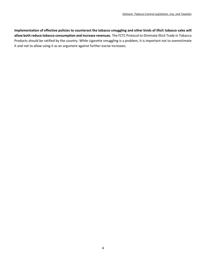**Implementation of effective policies to counteract the tobacco smuggling and other kinds of illicit tobacco sales will allow both reduce tobacco consumption and increase revenues.** The FCTC Protocol to Eliminate Illicit Trade in Tobacco Products should be ratified by the country. While cigarette smuggling is a problem, it is important not to overestimate it and not to allow using it as an argument against further excise increases.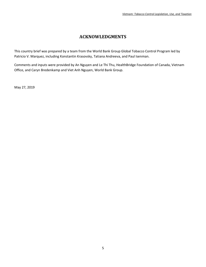## **ACKNOWLEDGMENTS**

<span id="page-5-0"></span>This country brief was prepared by a team from the World Bank Group Global Tobacco Control Program led by Patricio V. Marquez, including Konstantin Krasovsky, Tatiana Andreeva, and Paul Isenman.

Comments and inputs were provided by An Nguyen and Le Thi Thu, HealthBridge Foundation of Canada, Vietnam Office, and Caryn Bredenkamp and Viet Anh Nguyen, World Bank Group.

May 27, 2019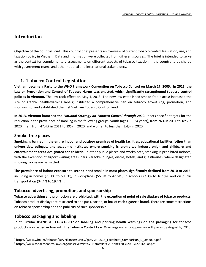## <span id="page-6-0"></span>**Introduction**

**Objective of the Country Brief.** This country brief presents an overview of current tobacco control legislation, use, and taxation policy in Vietnam. Data and information were collected from different sources. The brief is intended to serve as the context for complementary assessments on different aspects of tobacco taxation in the country to be shared with government teams and other national and international stakeholders.

## <span id="page-6-1"></span>**1. Tobacco Control Legislation**

**Vietnam became a Party to the WHO Framework Convention on Tobacco Control on March 17, 2005. In 2012, the Law on Prevention and Control of Tobacco Harms was enacted, which significantly strengthened tobacco control policies in Vietnam.** The law took effect on May 1, 2013. The new law established smoke-free places; increased the size of graphic health-warning labels; instituted a comprehensive ban on tobacco advertising, promotion, and sponsorship; and established the first Vietnam Tobacco Control Fund.

**In 2013, Vietnam launched the** *National Strategy on Tobacco Control through 2020.* It sets specific targets for the reduction in the prevalence of smoking in the following groups: youth (ages 15–24 years), from 26% in 2011 to 18% in 2020; men: from 47.4% in 2011 to 39% in 2020; and women to less than 1.4% in 2020.

#### **Smoke-free places**

**Smoking is banned in the entire indoor and outdoor premises of health facilities, educational facilities (other than universities, colleges, and academic institutes where smoking is prohibited indoors only), and childcare and entertainment areas designated for children.** In other public places and workplaces, smoking is prohibited indoors, with the exception of airport waiting areas, bars, karaoke lounges, discos, hotels, and guesthouses, where designated smoking rooms are permitted.

**The prevalence of indoor exposure to second-hand smoke in most places significantly declined from 2010 to 2015**, including in homes (73.1% to 59.9%), in workplaces (55.9% to 42.6%), in schools (22.3% to 16.1%), and on public transportation (34.4% to 19.4%)<sup>1</sup>.

#### **Tobacco advertising, promotion, and sponsorship**

**Tobacco advertising and promotion are prohibited, with the exception of point of sale displays of tobacco products.** Tobacco product displays are restricted to one pack, carton, or box of each cigarette brand. There are some restrictions on tobacco sponsorship and the publicity of such sponsorship.

#### **Tobacco packaging and labeling**

 $\overline{\phantom{a}}$ 

**Joint Circular 05/2013/TTLT-BYT-BCT <sup>2</sup> on labeling and printing health warnings on the packaging for tobacco products was issued in line with the Tobacco Control Law.** Warnings were to appear on soft packs by August 8, 2013,

<sup>1</sup> https://www.who.int/tobacco/surveillance/survey/gats/VN-2015\_FactSheet\_Comparison\_E\_Oct2016.pdf

<sup>2</sup> https://www.tobaccocontrollaws.org/files/live/Viet%20Nam/Viet%20Nam%20-%20PL%20Circular.pdf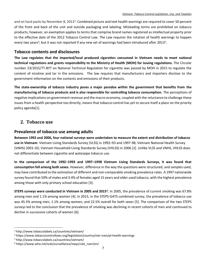and on hard packs by November 8, 2013<sup>3</sup>. Combined picture and text health warnings are required to cover 50 percent of the front and back of the unit and outside packaging and labeling. Misleading terms are prohibited on tobacco products; however, an exemption applies to terms that comprise brand names registered as intellectual property prior to the effective date of the 2012 Tobacco Control Law. The Law requires the rotation of health warnings to happen every two years<sup>4</sup>, but it was not reported if any new set of warnings had been introduced after 2013<sup>5</sup>.

## **Tobacco contents and disclosures**

**The Law regulates that the imported/local produced cigarettes consumed in Vietnam needs to meet national technical regulations and grants responsibility to the Ministry of Health (MOH) for issuing regulations.** The Circular number 23/2015/TT-BYT on National Technical Regulation for cigarette was passed by MOH in 2015 to regulate the content of nicotine and tar in the emissions.The law requires that manufacturers and importers disclose to the government information on the contents and emissions of their products.

**The state-ownership of tobacco industry poses a major paradox within the government that benefits from the manufacturing of tobacco products and is also responsible for controlling tobacco consumption.** The perceptions of negative implications on government revenue and the macro-economy, coupled with the reluctance to challenge these issues from a health perspective too directly, means that tobacco control has yet to secure itself a place on the priority policy agenda[1].

## <span id="page-7-0"></span>**2. Tobacco use**

## **Prevalence of tobacco use among adults**

**Between 1992 and 2006, four national surveys were undertaken to measure the extent and distribution of tobacco use in Vietnam**: Vietnam Living Standards Survey (VLSS) in 1992–93 and 1997-98; Vietnam National Health Survey (VNHS) 2001–02; Vietnam Household Living Standards Survey (VHLSS) in 2006 [2]. Unlike VLSS and VNHS, VHLSS does not differentiate between cigarette and waterpipe tobacco use.

**In the comparison of the 1992–1993 and 1997–1998 Vietnam Living Standards Surveys, it was found that consumption fell among both sexes.** However, difference in the way the questions were structured, and samples used, may have contributed to the estimation of different and non-comparable smoking prevalence rates. A 1997 nationwide survey found that 50% of males and 3.4% of females aged 15 years and older used tobacco, with the highest prevalence among those with only primary school education [3].

**STEPS surveys were conducted in Vietnam in 2005 and 2015<sup>6</sup> .** In 2005, the prevalence of current smoking was 67.8% among men and 1.1% among women [4]. In 2015, in the STEPS-GATS combined survey, the prevalence of tobacco use was 45.3% among men, 1.1% among women, and 22.5% overall for both sexes [5]. The comparison of the two STEPS surveys led to the conclusion that the prevalence of smoking was declining in recent cohorts of men and continued to decline in successive cohorts of women [6].

<sup>3</sup> http://www.tobaccolabels.ca/countries/vietnam/

<sup>4</sup> https://www.tobaccocontrollaws.org/legislation/country/viet-nam/pl-health-warnings

<sup>5</sup> http://www.tobaccolabels.ca/countries/vietnam/

<sup>6</sup> https://www.who.int/ncds/surveillance/steps/viet\_nam/en/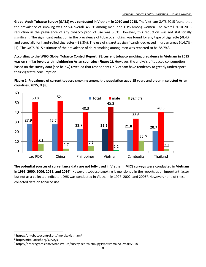**Global Adult Tobacco Survey (GATS) was conducted in Vietnam in 2010 and 2015.** The Vietnam GATS 2015 found that the prevalence of smoking was 22.5% overall, 45.3% among men, and 1.1% among women. The overall 2010-2015 reduction in the prevalence of any tobacco product use was 5.3%. However, this reduction was not statistically significant. The significant reduction in the prevalence of tobacco smoking was found for any type of cigarette (-8.4%), and especially for hand-rolled cigarettes (-38.3%). The use of cigarettes significantly decreased in urban areas (-14.7%) [7]. The GATS 2015 estimate of the prevalence of daily smoking among men was reported to be 38.7%<sup>7</sup>.

**According to the WHO Global Tobacco Control Report [8], current tobacco smoking prevalence in Vietnam in 2015 was on similar levels with neighboring Asian countries [\(Figure 1\)](#page-8-0).** However, the analysis of tobacco consumption based on the survey data (see below) revealed that respondents in Vietnam have tendency to greatly underreport their cigarette consumption.

<span id="page-8-0"></span>



**The potential sources of surveillance data are not fully used in Vietnam. MICS surveys were conducted in Vietnam in 1996, 2000, 2006, 2011, and 2014<sup>8</sup>.** However, tobacco smoking is mentioned in the reports as an important factor but not as a collected indicator. DHS was conducted in Vietnam in 1997, 2002, and 2005<sup>9</sup>. However, none of these collected data on tobacco use.

<sup>7</sup> https://untobaccocontrol.org/impldb/viet-nam/

<sup>8</sup> http://mics.unicef.org/surveys

<sup>9</sup> https://dhsprogram.com/What-We-Do/survey-search.cfm?pgType=lmmain&Cyear=2018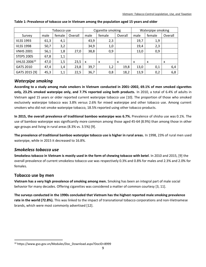|                   | Tobacco use |        |         |      | Cigarette smoking         |         | Waterpipe smoking         |                           |         |  |
|-------------------|-------------|--------|---------|------|---------------------------|---------|---------------------------|---------------------------|---------|--|
| Survey            | male        | female | Overall | male | female                    | Overall | male                      | female                    | Overall |  |
| <b>VLSS 1993</b>  | 61,3        | 4,1    |         | 43,9 | 2,3                       |         | 19,7                      | 1,9                       |         |  |
| <b>VLSS 1998</b>  | 50,7        | 3,2    |         | 34,9 | 1,0                       |         | 19,4                      | 2,3                       |         |  |
| <b>VNHS 2001</b>  | 56,1        | 1,8    | 27,0    | 38,8 | 0,9                       |         | 13,0                      | 0,9                       |         |  |
| <b>STEPS 2005</b> | 67,8        | 1,1    |         |      |                           |         |                           |                           |         |  |
| VHLSS 200610      | 47,0        | 1,5    | 23,5    | x    | $\boldsymbol{\mathsf{x}}$ | X       | $\boldsymbol{\mathsf{x}}$ | $\boldsymbol{\mathsf{x}}$ | X       |  |
| <b>GATS 2010</b>  | 47,4        | 1,4    | 23,8    | 39,7 | 1,2                       | 19,8    | 13,0                      | 0,1                       | 6,4     |  |
| GATS 2015 [9]     | 45,3        | 1,1    | 22,5    | 36,7 | 0,8                       | 18,2    | 13,9                      | 0,2                       | 6,8     |  |

#### **Table 1: Prevalence of tobacco use in Vietnam among the population aged 15 years and older**

#### *Waterpipe smoking*

**According to a study among male smokers in Vietnam conducted in 2001–2002, 69.1% of men smoked cigarettes only, 23.2% smoked waterpipe only, and 7.7% reported using both products.** In 2010, a total of 6.4% of adults in Vietnam aged 15 years or older reported current waterpipe tobacco use [10]. The proportion of those who smoked exclusively waterpipe tobacco was 3.8% versus 2.6% for mixed waterpipe and other tobacco use. Among current smokers who did not smoke waterpipe tobacco, 18.5% reported using other tobacco products.

**In 2015, the overall prevalence of traditional bamboo waterpipe was 6.7%.** Prevalence of shisha use was 0.1%. The use of bamboo waterpipe was significantly more common among those aged 45-64 (8.9%) than among those in other age groups and living in rural areas (8.3% vs. 3.5%) [9].

**The prevalence of traditional bamboo waterpipe tobacco use is higher in rural areas.** In 1998, 23% of rural men used waterpipe, while in 2015 it decreased to 16.8%.

#### *Smokeless tobacco use*

**Smokeless tobacco in Vietnam is mostly used in the form of chewing tobacco with betel**. In 2010 and 2015, [9] the overall prevalence of current smokeless tobacco use was respectively 0.3% and 0.8% for males and 2.3% and 2.0% for females.

#### **Tobacco use by men**

l

**Vietnam has a very high prevalence of smoking among men.** Smoking has been an integral part of male social behavior for many decades. Offering cigarettes was considered a matter of common courtesy [3, 11].

**The surveys conducted in the 1990s concluded that Vietnam has the highest reported male smoking prevalence rate in the world (72.8%).** This was linked to the impact of transnational tobacco corporations and non-Vietnamese brands, which were most commonly advertised [12].

<sup>10</sup> https://www.gso.gov.vn/Modules/Doc\_Download.aspx?DocID=8999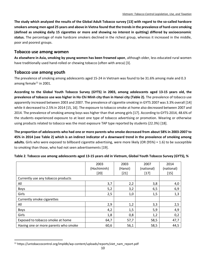**The study which analyzed the results of the Global Adult Tobacco survey [13] with regard to the so-called hardcore smokers among men aged 25 years and above in Vietna found that the trends in the prevalence of hard-core smoking (defined as smoking daily 15 cigarettes or more and showing no interest in quitting) differed by socioeconomic status.** The percentage of male hardcore smokers declined in the richest group, whereas it increased in the middle, poor and poorest groups.

#### **Tobacco use among women**

**As elsewhere in Asia, smoking by young women has been frowned upon**, although older, less educated rural women have traditionally used hand-rolled or chewing tobacco (often with areca) [3].

## **Tobacco use among youth**

l

The prevalence of smoking among adolescents aged 15-24 in Vietnam was found to be 31.6% among male and 0.3 among female $^{11}$  in 2001.

**According to the Global Youth Tobacco Survey (GYTS) in 2003, among adolescents aged 13-15 years old, the prevalence of tobacco use was higher in Ho Chi Minh city than in Hanoi city [\(Table 2\)](#page-10-0).** The prevalence of tobacco use apparently increased between 2003 and 2007. The prevalence of cigarette smoking in GYTS 2007 was 3.3% overall [14] while it decreased to 2.5% in 2014 [15, 16]. The exposure to tobacco smoke at home also decreased between 2007 and 2014. The prevalence of smoking among boys was higher than that among girls [17]. According to GYTS-2014, 48.6% of the students experienced exposure to at least one type of tobacco advertising or promotion. Wearing or otherwise using products related to tobacco was the most exposure TAP type reported by students (22.3%) [18].

**The proportion of adolescents who had one or more parents who smoke decreased from about 58% in 2003-2007 to 45% in 2014 (see [Table 2\)](#page-10-0) which is an indirect indicator of a downward trend in the prevalence of smoking among adults.** Girls who were exposed to billboard cigarette advertising, were more likely (OR (95%) = 1.6) to be susceptible to smoking than those, who had not seen advertisements [19].

|                                      | 2003        | 2003    | 2007       | 2014                                                                                                                                                                                                                                                                                                                                                                                                                                                                                                                                                                                                                                            |
|--------------------------------------|-------------|---------|------------|-------------------------------------------------------------------------------------------------------------------------------------------------------------------------------------------------------------------------------------------------------------------------------------------------------------------------------------------------------------------------------------------------------------------------------------------------------------------------------------------------------------------------------------------------------------------------------------------------------------------------------------------------|
|                                      | (Hochiminh) | (Hanoi) | (national) | (national)                                                                                                                                                                                                                                                                                                                                                                                                                                                                                                                                                                                                                                      |
|                                      | $[20]$      | $[21]$  | $[17]$     | $[15] % \includegraphics[width=0.9\columnwidth]{figures/fig_1a} \caption{The 1D (top) of the mean and the 1D (bottom) of the mean and the 1D (bottom) of the mean and the 1D (bottom) of the mean and the 1D (bottom) of the mean and the 1D (bottom) of the mean and the 1D (bottom) of the mean and the 1D (bottom) of the mean and the 1D (bottom) of the mean and the 1D (bottom) of the mean and the 1D (bottom) of the mean and the 1D (bottom) of the mean and the 1D (bottom) of the mean and the 1D (bottom) of the mean and the 1D (bottom) of the mean and the 1D (bottom) of the mean and the 1D (bottom) of the mean and the 1D ($ |
| Currently use any tobacco products   |             |         |            |                                                                                                                                                                                                                                                                                                                                                                                                                                                                                                                                                                                                                                                 |
| All                                  | 3,7         | 2,2     | 3,8        | 4,0                                                                                                                                                                                                                                                                                                                                                                                                                                                                                                                                                                                                                                             |
| <b>Boys</b>                          | 5,2         | 3,2     | 6,5        | 6,9                                                                                                                                                                                                                                                                                                                                                                                                                                                                                                                                                                                                                                             |
| Girls                                | 2,5         | 1,0     | 1,5        | 1,3                                                                                                                                                                                                                                                                                                                                                                                                                                                                                                                                                                                                                                             |
| Currently smoke cigarettes           |             |         |            |                                                                                                                                                                                                                                                                                                                                                                                                                                                                                                                                                                                                                                                 |
| All                                  | 2,9         | 1,2     | 3,3        | 2,5                                                                                                                                                                                                                                                                                                                                                                                                                                                                                                                                                                                                                                             |
| <b>Boys</b>                          | 4,2         | 1,5     | 5,9        | 4,9                                                                                                                                                                                                                                                                                                                                                                                                                                                                                                                                                                                                                                             |
| Girls                                | 1,8         | 0,8     | 1,2        | 0,2                                                                                                                                                                                                                                                                                                                                                                                                                                                                                                                                                                                                                                             |
| Exposed to tobacco smoke at home     | 64,7        | 57,7    | 58,5       | 47,7                                                                                                                                                                                                                                                                                                                                                                                                                                                                                                                                                                                                                                            |
| Having one or more parents who smoke | 60,6        | 56,1    | 58,5       | 44,5                                                                                                                                                                                                                                                                                                                                                                                                                                                                                                                                                                                                                                            |

<span id="page-10-0"></span>

|  | Table 2. Tobacco use among adolescents aged 13-15 years old in Vietnam, Global Youth Tobacco Survey (GYTS), % |  |  |
|--|---------------------------------------------------------------------------------------------------------------|--|--|
|  |                                                                                                               |  |  |

<sup>&</sup>lt;sup>11</sup> https://untobaccocontrol.org/impldb/wp-content/uploads/reports/viet\_nam\_report.pdf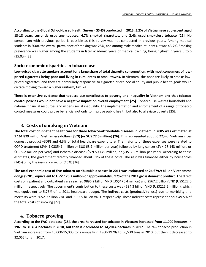**According to the Global School-based Health Survey (GSHS) conducted in 2013, 5.2% of Vietnamese adolescent aged 13-18 years currently used any tobacco, 4.7% smoked cigarettes, and 2.4% used smokeless tobacco [22].** No comparison with previous period is possible as this survey was not conducted in previous years. Among medical students in 2008, the overall prevalence of smoking was 25%, and among male medical students, it was 43.7%. Smoking prevalence was higher among the students in later academic years of medical training, being highest in years 5 to 6 (35.0%) [23].

#### **Socio-economic disparities in tobacco use**

**Low-priced cigarette smokers account for a large share of total cigarette consumption, with most consumers of lowpriced cigarettes being poor and living in rural areas or small towns.** In Vietnam, the poor are likely to smoke lowpriced cigarettes, and they are particularly responsive to cigarette prices. Social equity and public health goals would dictate moving toward a higher uniform, tax [24].

**There is extensive evidence that tobacco use contributes to poverty and inequality in Vietnam and that tobacco control policies would not have a negative impact on overall employment [25].** Tobacco use wastes household and national financial resources and widens social inequality. The implementation and enforcement of a range of tobacco control measures could prove beneficial not only to improve public health but also to alleviate poverty [25].

## <span id="page-11-0"></span>**3. Costs of smoking in Vietnam**

**The total cost of inpatient healthcare for three tobacco-attributable diseases in Vietnam in 2005 was estimated at 1 161 829 million Vietnamese dollars (\$VN) (or \$US 77.5 million) [26].** This represented about 0.22% of Vietnam gross domestic product (GDP) and 4.3% of total healthcare expenditure. The majority of these expenses were related to COPD treatment (\$VN 1,033541 million or \$US 68.9 million per year) followed by lung cancer (\$VN 78,143 million, or \$US 5.2 million per year) and ischemic disease (\$VN 50,145 million, or \$US 3.3 million per year). According to these estimates, the government directly financed about 51% of these costs. The rest was financed either by households (34%) or by the insurance sector (15%) [26].

**The total economic cost of five tobacco-attributable diseases in 2011 was estimated at 24 679.9 billion Vietnamese dongs(VND), equivalent to US\$1173.2 million or approximately 0.97% of the 2011 gross domestic product.** The direct costs of inpatient and outpatient care reached 9896.2 billion VND (US\$470.4 million) and 2567.2 billion VND (US\$122.0 million), respectively. The government's contribution to these costs was 4534.3 billion VND (US\$215.5 million), which was equivalent to 5.76% of its 2011 healthcare budget. The indirect costs (productivity loss) due to morbidity and mortality were 2652.9 billion VND and 9563.5 billion VND, respectively. These indirect costs represent about 49.5% of the total costs of smoking [27].

## <span id="page-11-1"></span>**4. Tobacco growing**

**According to the FAO database [28], the area harvested for tobacco in Vietnam increased from 11,000 hectares in 1961 to 31,484 hectares in 2010, but then it decreased to 14,2014 hectares in 2017.** The raw tobacco production in Vietnam increased from 10,000-15,000 tons annually in 1960-1970s to 56,530 tons in 2010, but then it decreased to 32,065 tons in 2017.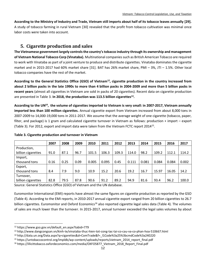**According to the Ministry of Industry and Trade, Vietnam still imports about half of its tobacco leaves annually [29].** A study of tobacco farming in rural Vietnam [30] revealed that the profit from tobacco cultivation was minimal once labor costs were taken into account.

## <span id="page-12-0"></span>**5. Cigarette production and sales**

**The Vietnamese government largely controls the country's tobacco industry through its ownership and management of Vietnam National Tobacco Corp (Vinataba).** Multinational companies such as British American Tobacco are required to work with Vinataba as part of a joint venture to produce and distribute cigarettes. Vinataba dominates the cigarette market and in 2015-2017 had 60% market share [31]. BAT has 26% market share, PMI – 3%, JTI – 1.5%. Other local tobacco companies have the rest of the market.

**According to the General Statistics Office (GSO) of Vietnam<sup>12</sup>, cigarette production in the country increased from about 2 billion packs in the late 1990s to more than 4 billion packs in 2004-2009 and more than 5 billion packs in recent years** (almost all cigarettes in Vietnam are sold in packs of 20 cigarettes). Recent data on cigarette production are presented in [Table 3.](#page-12-1) **In 2018, the production was 113.5 billion cigarettes<sup>13</sup> .**

**According to the UN<sup>14</sup> , the volume of cigarettes imported to Vietnam is very small: in 2007-2017, Vietnam annually imported less than 100 million cigarettes.** Annual cigarette export from Vietnam increased from about 8,000 tons in 2007-2009 to 14,000-19,000 tons in 2011-2017. We assume that the average weight of one cigarette (tobacco, paper, filter, and package) is 1 gram and calculated cigarette turnover in Vietnam as follows: production + import – export [\(Table 3\)](#page-12-1). For 2012, export and import data were taken from the Vietnam FCTC report 2014<sup>15</sup> .

|                    | 2007 | 2008 | 2009 | 2010  | 2011  | 2012  | 2013  | 2014  | 2015  | 2016  | 2017  |
|--------------------|------|------|------|-------|-------|-------|-------|-------|-------|-------|-------|
| Production,        |      |      |      |       |       |       |       |       |       |       |       |
| billion cigarettes | 91.0 | 87.1 | 96.7 | 101.5 | 106.3 | 109.3 | 114.0 | 98.2  | 109.2 | 112.1 | 114.2 |
| Import,            |      |      |      |       |       |       |       |       |       |       |       |
| thousand tons      | 0.16 | 0.25 | 0.09 | 0.005 | 0.095 | 0.45  | 0.111 | 0.081 | 0.084 | 0.084 | 0.002 |
| Export,            |      |      |      |       |       |       |       |       |       |       |       |
| thousand tons      | 8.4  | 7.9  | 9.0  | 10.9  | 15.2  | 20.6  | 19.2  | 16.7  | 15.97 | 16.05 | 14.2  |
| Turnover,          |      |      |      |       |       |       |       |       |       |       |       |
| billion cigarettes | 82.8 | 79.5 | 87.8 | 90.6  | 91.2  | 89.2  | 94.9  | 81.6  | 93.4  | 96.2  | 100.0 |

#### <span id="page-12-1"></span>**Table 3. Cigarette production and turnover in Vietnam**

Source: General Statistics Office (GSO) of Vietnam and the UN database.

Euromonitor International (EMI) reports have almost the same figures on cigarette production as reported by the GSO [\(Table 4\)](#page-13-1). According to the EMI reports, in 2010-2017 annual cigarette export ranged from 20 billion cigarettes to 26.7 billion cigarettes. Euromonitor and Oxford Economics<sup>16</sup> also reported cigarette legal sales data [\(Table 4\)](#page-13-1). The volumes of sales are much lower than the turnover. In 2015-2017, annual turnover exceeded the legal sales volumes by about

<sup>12</sup> https://www.gso.gov.vn/default\_en.aspx?tabid=779

<sup>13</sup> http://www.dangcongsan.vn/kinh-te/vinataba-thuc-hien-tot-cong-tac-tai-co-cau-va-co-phan-hoa-510667.html

<sup>14</sup> http://data.un.org/Data.aspx?q=cigarettes&d=ComTrade&f=\_l1Code%3a25%3bcmdCode%3a240220

<sup>&</sup>lt;sup>15</sup> https://untobaccocontrol.org/impldb/wp-content/uploads/reports/vietnam\_2014\_report\_final.pdf

<sup>16</sup> https://illicittobacco.oxfordeconomics.com/media/OXFO5877\_Vietnam\_2018\_Report\_Final.pdf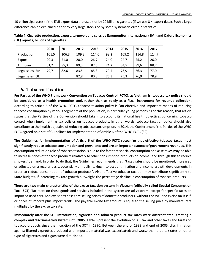10 billion cigarettes (if the EMI export data are used), or by 20 billion cigarettes (if we use UN export data). Such a large difference can be explained either by very large stocks or by some systematic error in statistics.

|                  | 2010  | 2011  | 2012  | 2013  | 2014 | 2015  | 2016  | 2017  |
|------------------|-------|-------|-------|-------|------|-------|-------|-------|
| Production       | 101,5 | 106,3 | 109,3 | 114,0 | 98,2 | 109,2 | 114,8 | 114,7 |
| Export           | 20,3  | 21,0  | 20,0  | 26,7  | 24,0 | 24,7  | 25,2  | 26,0  |
| Turnover         | 81,2  | 85,3  | 89,3  | 87,3  | 74,2 | 84,5  | 89,6  | 88,7  |
| Legal sales, EMI | 79,7  | 82,6  | 83,5  | 85,3  | 70,4 | 73,9  | 76,3  | 77,0  |
| Legal sales, OE  |       |       | 82,8  | 80,8  | 75,3 | 75,3  | 76,9  | 78,9  |

<span id="page-13-1"></span>**Table 4. Cigarette production, export, turnover, and sales by Euromonitor International (EMI) and Oxford Economics (OE) reports, billions of cigarettes**

## <span id="page-13-0"></span>**6. Tobacco Taxation**

**For Parties of the WHO Framework Convention on Tobacco Control (FCTC), as Vietnam is, tobacco tax policy should be considered as a health promotion tool, rather than as solely as a fiscal instrument for revenue collection.** According to article 6 of the WHO FCTC, tobacco taxation policy is "an effective and important means of reducing tobacco consumption by various segments of the population, in particular young persons." For this reason, that article states that the Parties of the Convention should take into account its national health objectives concerning tobacco control when implementing tax policies on tobacco products. In other words, tobacco taxation policy should also contribute to the health objective of reducing tobacco consumption. In 2014, the Conference of the Parties of the WHO FCTC agreed on a set of Guidelines for Implementation of Article 6 of the WHO FCTC [32].

**The Guidelines for Implementation of Article 6 of the WHO FCTC recognize that effective tobacco taxes must significantly reduce tobacco consumption and prevalence and are an important source of government revenues.** This consumption reduction role of tobacco taxation is due to the fact that special consumption or excise taxes may be able to increase prices of tobacco products relatively to other consumption products or income; and through this to reduce smokers' demand. In order to do that, the Guidelines recommends that: "taxes rates should be monitored, increased or adjusted on a regular basis, potentially annually, taking into account inflation and income growth developments in order to reduce consumption of tobacco products". Also, effective tobacco taxation may contribute significantly to State budgets, if increasing tax rate growth outweighs the percentage decline in consumption of tobacco products.

**There are two main characteristics of the excise taxation system in Vietnam (officially called Special Consumption Tax - SCT).** Tax rates on those goods and services included in the system are **ad valorem**, except for specific taxes on imported used cars. And excise tax bases are selling prices of domestic producers, without the VAT and excise tax itself, or prices of imports plus import tariffs. The payable excise tax amount is equal to the selling price by manufacturers multiplied by the excise tax rate.

**Immediately after the SCT introduction, cigarette and tobacco-product tax rates were differentiated, creating a complex and discriminatory system until 2005.** [Table 5](#page-14-0) present the evolution of SCT tax and other taxes and tariffs on tobacco products since the inception of the SCT in 1990. Between the end of 1993 and end of 2005, discrimination against filtered cigarettes produced with imported material was exacerbated; and worse than that, tax rates on other type of cigarettes and cigars were diminished.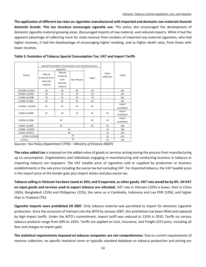**The application of different tax rates on cigarettes manufactured with imported and domestic raw materials favored domestic brands. This tax structure encourages cigarette use.** This policy also encouraged the development of domestic cigarette material growing areas, discouraged imports of raw material, and reduced imports. While it had the apparent advantage of collecting more for state revenue from smokers of imported raw material cigarettes, who had higher incomes, it had the disadvantage of encouraging higher smoking, and so higher death rates, from those with lower incomes.

|                   |                                                   | Special Consumption Tax (tax base is pre-tax factory price) |              |        |                          | Tariffs              |  |
|-------------------|---------------------------------------------------|-------------------------------------------------------------|--------------|--------|--------------------------|----------------------|--|
|                   |                                                   | Cigarettes                                                  |              |        |                          |                      |  |
| Period            | Filtered<br>produced from<br>imported<br>material | Filtered<br>produced<br>from<br>domestic<br>material        | Non-filtered | Cigars | Value<br>added tax       |                      |  |
| 10/1990-8/1993    | 50                                                | 50                                                          | 40           | 40     |                          | <b>NA</b>            |  |
| 9/1993-12/1995    | 70                                                | 52                                                          | 32           | 32     |                          | <b>NA</b>            |  |
| 1/1996-12/1998    | 70                                                | 52                                                          | 32           | 70     |                          | <b>NA</b>            |  |
| 1/1999-11/2001    | 65                                                | 45                                                          | 25           | 65     | $\overline{\phantom{a}}$ | <b>NA</b>            |  |
| 11/2001 - 12/2003 | 65                                                | 45                                                          | 25           | 65     |                          | Import<br>prohibited |  |
| 1/2004-12/2005    | 65                                                | 45                                                          | 25           | 65     | 10                       | Import<br>prohibited |  |
| 1/2006-12/2006    |                                                   | 55                                                          |              | 65     | 10                       | Import<br>prohibited |  |
| 1/2007-12/2007    |                                                   | 55                                                          |              | 65     | 10                       | 100                  |  |
| 1/2008 - 12/2009  |                                                   | 65                                                          |              |        | 10                       | 140                  |  |
| 1/2010-12/2015    |                                                   | 65                                                          | 10           | 135    |                          |                      |  |
| 1/2016-12/2018    |                                                   |                                                             | 70           |        | 10                       | 135                  |  |
| 1/2019            |                                                   |                                                             | 75           |        | 10                       | 135                  |  |

<span id="page-14-0"></span>**Table 5: Evolution of Tobacco Special Consumption Tax, VAT and Import Tariffs**

**The value added tax** is imposed on the added value of goods or services arising during the process from manufacturing up to consumption. Organizations and individuals engaging in manufacturing and conducting business in tobacco or importing tobacco are taxpayers. The VAT taxable price of cigarettes sold or supplied by production or business establishments is the sale price including the excise tax but excluding VAT. For imported tobacco, the VAT taxable price is the import price at the border gate plus import duties and plus excise tax.

**Tobacco selling in Vietnam has been taxed at 10%; and if exported, as other goods, VAT rate would be by 0%. All VAT on input goods and services used to export tobacco are refunded.** VAT rate in Vietnam (10%) is lower, than in China (16%), Bangladesh (15%) and Philippines (12%), the same as in Cambodia, Indonesia and Lao PDR (10%), and higher than in Thailand (7%).

**Cigarette imports were prohibited till 2007.** Only tobacco material was permitted to import for domestic cigarette production. Since the accession of Vietnam into the WTO by January 2007, this prohibition has been lifted and replaced by high import tariffs. Under the WTO's commitment, import tariff was reduced to 135% in 2010. Tariffs on various tobacco products range from 30% to 145%. Tariffs are applied on Cost, Insurance, and Freight (CIF) price, including all fees and charges to import gate.

**The statistical requirements imposed on tobacco companies are not comprehensive.** Due to current requirements of revenue collection, no specific statistical norm or typically standard database on tobacco production and pricing are

epartment (TPD) – 75 *Sources: Tax Policy Department (TPD) – Ministry of Finance (MOF)*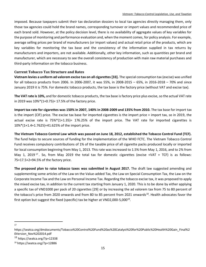imposed. Because taxpayers submit their tax declaration dossiers to local tax agencies directly managing them, only those tax agencies could hold the brand names, corresponding turnover or import values and recommended price of each brand sold. However, at the policy decision level, there is no availability of aggregate values of key variables for the purpose of monitoring and performance evaluation and, when the moment comes, for policy analysis. For example, average selling prices per brand of manufacturers (or import values) and actual retail price of the products, which are key variables for monitoring the tax base and the consistency of the information supplied in tax returns by manufacturers and importers, are not available. Additionally, other key information, such as quantities per brand and manufacturer, which are necessary to see the overall consistency of production with main raw material purchases and third-party information on the tobacco business.

#### **Current Tobacco Tax Structure and Rates**

**Vietnam levies a uniform ad valorem excise tax on all cigarettes [33].** The special consumption tax (excise) was unified for all tobacco products from 2006. In 2006-2007, it was 55%, in 2008-2015 – 65%, in 2016-2018 – 70% and since January 2019 it is 75%. For domestic tobacco products, the tax base is the factory price (without VAT and excise tax).

**The VAT rate is 10%,** and for domestic tobacco products, the tax base is factory price plus excise, so the actual VAT rate in 2019 was 10%\*(1+0.75)= 17.5% of the factory price.

**Import tax rate for cigarettes was 150% in 2007, 140% in 2008-2009 and 135% from 2010.** The tax base for import tax is the import (CIF) price. The excise tax base for imported cigarettes is the import price + import tax, so in 2019, the actual excise rate is 75%\*(1+1.35)= 176.25% of the import price. The VAT rate for imported cigarettes is 10%\*(1+1.4+1.7625)=41.625% of the import price.

**The Vietnam Tobacco Control Law which was passed on June 18, 2012, established the Tobacco Control Fund (TCF).** The fund helps to secure sources of funding for the implementation of the WHO FCTC. The Vietnam Tobacco Control Fund receives compulsory contributions of 1% of the taxable price of all cigarette packs produced locally or imported for local consumption beginning from May 1, 2013. This rate was increased to 1.5% from May 1, 2016, and to 2% from May 1, 2019<sup>17</sup>. So, from May 2019 the total tax for domestic cigarettes (excise +VAT + TCF) is as follows: 75+17.5+2=94.5% of the factory price.

**The proposed plan to raise tobacco taxes was submitted in August 2017.** The draft law suggested amending and supplementing some articles of the Law on the Value-added Tax, the Law on Special Consumption Tax, the Law on the Corporate Income Tax and the Law on Personal Income Tax. Regarding the tobacco excise tax, it was proposed to apply the mixed excise tax, in addition to the current tax starting from January 1, 2020. This is to be done by either applying a specific tax of VND1000 per pack of 20 cigarettes [29] or by increasing the ad valorem tax from 75 to 80 percent of the tobacco's price from 2020 onwards and from 80 to 85 percent from 2021 onwards<sup>18</sup>. Health advocates favor the first option but suggest the fixed (specific) tax be higher at VND2,000-5,000<sup>19</sup>.

 $\overline{\phantom{a}}$ 17

https://seatca.org/dmdocuments/Tobacco%20Control%20Fund%20as%20Catalyst%20for%20Public%20Health%20Gain\_Final%2 0Version\_Nov%202014.pdf  $18$  https://seatca.org/?p=12338

<sup>19</sup> https://seatca.org/?p=12886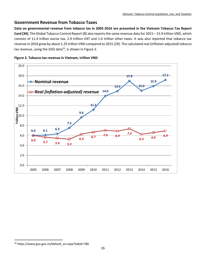#### **Government Revenue from Tobacco Taxes**

**Data on governmental revenue from tobacco tax in 2005-2016 are presented in the Vietnam Tobacco Tax Report Card [34].** The Global Tobacco Control Report [8] also reports the same revenue data for 2015 – 15.9 trillion VND, which consists of 11.4 trillion excise tax, 2.9 trillion VAT and 1.6 trillion other taxes. It was also reported that tobacco tax revenue in 2016 grew by about 1.25 trillion VND compared to 2015 [29]. The calculated real (inflation-adjusted) tobacco tax revenue, using the GSO data $^{20}$ , is shown in [Figure 2.](#page-16-0)

<span id="page-16-0"></span>



<sup>20</sup> https://www.gso.gov.vn/default\_en.aspx?tabid=780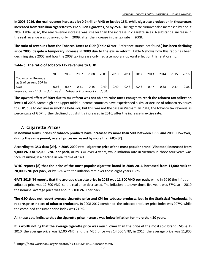**In 2005-2016, the real revenue increased by 0.9 trillion VND or just by 15%, while cigarette production in those years increased from 90 billion cigarettes to 112 billion cigarettes, or by 25%.** The cigarette turnover also increased by about 20% [\(Table 3\)](#page-12-1); so, the real revenue increase was smaller than the increase in cigarette sales. A substantial increase in the real revenue was observed only in 2009, after the increase in the tax rate in 2008.

**The ratio of revenues from the Tobacco Taxes to GDP [\(Table 6](#page-17-1)**Error! Reference source not found.**) has been declining since 2005, despite a temporary increase in 2009 due to the excise reform.** [Table 6](#page-17-1) shows how this ratio has been declining since 2005 and how the 2008 tax increase only had a temporary upward effect on this relationship.

#### <span id="page-17-1"></span>**Table 6**: **The ratio of tobacco tax revenues to GDP**

|                                               | 2005                                                                                             | 2006 | 2007 | 2008 | 2009 | 2010 | 2011 | 2012 | 2013 | 2014 | 2015 | 2016 |
|-----------------------------------------------|--------------------------------------------------------------------------------------------------|------|------|------|------|------|------|------|------|------|------|------|
| Tobacco tax Revenue<br>as % of current GDP in |                                                                                                  |      |      |      |      |      |      |      |      |      |      |      |
| USD                                           | 0.66                                                                                             | 0.57 | 0.51 | 0.45 | 0.49 | 0.49 | 0.48 | 0.46 | 0.47 | 0,38 | 0,37 | 0,38 |
|                                               | $T - h$ and $T - h$ and $\mathcal{L}$ and $\mathcal{L}$<br>$C = \frac{1}{2} I I I I I I I I I I$ |      |      |      |      |      |      |      |      |      |      |      |

*Sources: World Bank database<sup>21</sup> , Tobacco Tax report card [34]*

**The upward effect of 2009 due to tax reform was not able to raise taxes enough to reach the tobacco tax collection levels of 2006.** Some high and upper middle-income countries have experienced a similar decline of tobacco revenues to GDP, due to declines in smoking behavior, but this was not the case in Vietnam. In 2014, the tobacco tax revenue as percentage of GDP further declined but slightly increased in 2016, after the increase in excise rate.

## <span id="page-17-0"></span>**7. Cigarette Prices**

l

**In nominal terms, prices of tobacco products have increased by more than 50% between 1995 and 2006. However, during the same period, overall prices increased by more than 60% [2].**

**According to GSO data [29], in 2005-2009 retail cigarette price of the most popular brand (Vinataba) increased from 9,000 VND to 12,000 VND per pack,** or by 33% over 4 years, while inflation rate in Vietnam in those four years was 55%, resulting in a decline in real terms of 14%.

**WHO reports [8] that the price of the most popular cigarette brand in 2008-2016 increased from 11,000 VND to 20,000 VND per pack**, or by 82% with the inflation rate over those eight years 108%.

**GATS 2015 [9] reports that the average cigarette price in 2015 was 11,800 VND per pack,** while in 2010 the inflationadjusted price was 12,800 VND, so the real price decreased. The inflation rate over those five years was 57%, so in 2010 the nominal average price was about 8,100 VND per pack.

**The GSO does not report average cigarette price and CPI for tobacco products, but in the Statistical Yearbooks, it reports price indices of tobacco producers.** In 2008-2017 combined, the tobacco producer price index was 207%, while the combined consumer price index was 215%.

**All these data indicate that the cigarette price increase was below inflation for more than 20 years.**

**It is worth noting that the average cigarette price was much lower than the price of the most sold brand (MSB).** In 2010, the average price was 8,100 VND, and the MSB price was 14,000 VND; in 2015, the average price was 11,800

<sup>21</sup> https://data.worldbank.org/indicator/NY.GDP.MKTP.CD?locations=VN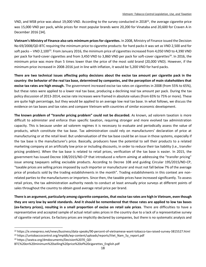VND, and MSB price was about 19,000 VND. According to the survey conducted in 2018<sup>22</sup>, the average cigarette price was 15,000 VND per pack, while prices for most popular brands were 20,200 for Vinataba and 20,600 for Craven A in December 2016 [34].

**Vietnam's Ministry of Finance also sets minimum prices for cigarettes.** In 2008, Ministry of Finance issued the Decision No 69/2008/QD-BTC requiring the minimum price to cigarette products: for hard packs it was set as VND 2,500 and for soft packs -- VND 2,100<sup>23</sup>. From January 2016, the minimum price of cigarettes increased from 4,050 VND to 4,390 VND per pack for hard-cover cigarettes and from 3,450 VND to 3,860 VND per pack for soft-cover cigarettes<sup>24</sup>. In 2016, the minimum price was more than 5 times lower than the price of the most sold brand (20,000 VND). However, if the minimum price increased in 2008-2016 just in line with inflation, it would be 5,200 VND for hard packs.

**There are two technical issues affecting policy decisions about the excise tax amount per cigarette pack in the country: the behavior of the real tax base, determined by companies, and the perception of main stakeholders that excise tax rates are high enough.** The government increased excise tax rates on cigarettes in 2008 (from 55% to 65%), but these rates were applied to a lower real tax base, producing a declining real tax amount per pack. During the tax policy discussion of 2013-2014, excise rate increases were framed in absolute values (from 65% to 75% or more). These are quite high percentage, but they would be applied to an average low real tax base. In what follows, we discuss the evidence on tax bases and tax rates and compare Vietnam with countries of similar economic development.

**The known problem of "transfer pricing problem" could not be discarded.** As known, ad valorem taxation is more difficult to administer and enforce than specific taxation, requiring stronger and more evolved tax administration capacity. This is because under ad valorem regimes it is necessary to evaluate and periodically assess the value of products, which constitute the tax base. Tax administration could rely on manufacturers' declaration of price at manufacturing or at the retail level. But undervaluation of the tax base could be an issue in those systems, especially if the tax base is the manufacturer's price. Basically, producers have the potential to sell their products to a related marketing company at an artificially low price or including discounts, in order to reduce their tax liability (i.e., transfer pricing problem). When the tax base is related to retail prices, verification of the tax base is easier. In 2015, the government has issued Decree 108/2015/ND-CP that introduced a reform aiming at addressing the "transfer pricing" issue among taxpayers selling excisable products. According to Decree 108 and guiding Circular 195/2015/ND-CP, "taxable prices are selling prices imposed by such importer or manufacturer and must not fall below 7% of the average price of products sold by the trading establishments in the month". Trading establishments in this context are nonrelated parties to the manufacturers or importers. Since then, the taxable prices have increased significantly. To assess retail prices, the tax administration authority needs to conduct at least annually price surveys at different points of sales throughout the country to obtain good average retail price per brand.

**There is an argument, particularly among cigarette companies, that excise tax rates are high in Vietnam, even though they are very low by world standards. And it should be remembered that those rates are applied to low tax bases (ex-factory prices), resulting in a small proportion of excise on retail sale prices**. There are difficulties to have a representative and accepted sample of actual retail sales prices in the country due to a lack of a representative survey of cigarette retail prices. Ex-factory prices are implicitly declared by companies, but there is no systematic analysis and

<sup>22</sup> https://e.vnexpress.net/news/business/data-speaks/90-percent-of-vietnamese-want-tobacco-tax-raised-survey-3815527.html <sup>23</sup> https://untobaccocontrol.org/impldb/wp-content/uploads/reports/Viet\_Nam\_5y\_report.pdf

<sup>&</sup>lt;sup>24</sup> https://seatca.org/dmdocuments/Decision%2070\_QD-

BTC%20on%20minimum%20selling%20price%20of%20cigarettes\_English.pdf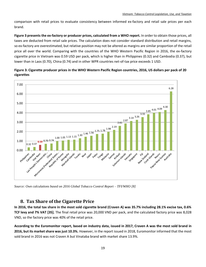comparison with retail prices to evaluate consistency between informed ex-factory and retail sale prices per each brand.

**[Figure 3](#page-19-1) presents the ex-factory or producer prices, calculated from a WHO report.** In order to obtain those prices, all taxes are deducted from retail sale prices. The calculation does not consider standard distribution and retail margins, so ex-factory are overestimated, but relative position may not be altered as margins are similar proportion of the retail price all over the world. Comparing with the countries of the WHO Western Pacific Region in 2016, the ex-factory cigarette price in Vietnam was 0.59 USD per pack, which is higher than in Philippines (0.32) and Cambodia (0.37), but lower than in Laos (0.70), China (0.74) and in other WPR countries net-of-tax price exceeds 1 USD.



<span id="page-19-1"></span>**Figure 3: Cigarette producer prices in the WHO Western Pacific Region countries, 2016, US dollars per pack of 20 cigarettes**

*Source: Own calculations based on 2016 Global Tobacco Control Report – TFI/WHO [8]*

#### <span id="page-19-0"></span>**8. Tax Share of the Cigarette Price**

**In 2016, the total tax share in the most sold cigarette brand (Craven A) was 35.7% including 28.1% excise tax, 0.6% TCF levy and 7% VAT [35].** The final retail price was 20,000 VND per pack, and the calculated factory price was 8,028 VND, so the factory price was 40% of the retail price.

**According to the Euromonitor report, based on industry data, issued in 2017, Craven A was the most sold brand in 2016, but its market share was just 10.3%.** However, in the report issued in 2018, Euromonitor informed that the most sold brand in 2016 was not Craven A but Vinataba brand with market share 13.9%.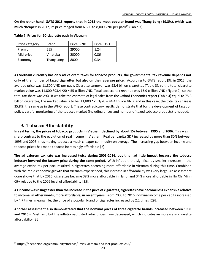**On the other hand, GATS-2015 reports that in 2015 the most popular brand was Thang Long (19.3%), which was much cheaper:** in 2017, its price ranged from 6,600 to 8,000 VND per pack<sup>25</sup> [\(Table 7\)](#page-20-1).

| Price category | <b>Brand</b> | Price, VND | Price, USD |
|----------------|--------------|------------|------------|
| Premium        | 555          | 29000      | 1.24       |
| Mid-price      | Vinataba     | 20000      | 0.86       |
| Economy        | Thang Long   | 8000       | 0.34       |

<span id="page-20-1"></span>**Table 7: Prices for 20-cigarette pack in Vietnam**

**As Vietnam currently has only ad valorem taxes for tobacco products, the governmental tax revenue depends not only of the number of taxed cigarettes but also on their average price.** According to GATS report [9], in 2015, the average price was 11,800 VND per pack. Cigarette turnover was 93.4 billion cigarettes [\(Table 3\)](#page-12-1), so the total cigarette market value was 11,800 \*93.4 /20 = 55 trillion VND. Total tobacco tax revenue was 15.9 trillion VND [\(Figure 2\)](#page-16-0), so the total tax share was 29%. If we take the estimate of legal sales from the Oxford Economics report [\(Table 4\)](#page-13-1) equal to 75.3 billion cigarettes, the market value is to be: 11,800 \*75.3/20 = 44.4 trillion VND, and in this case, the total tax share is 35.8%, the same as in the WHO report. These contradictory results demonstrate that for the development of taxation policy, careful monitoring of the tobacco market (including prices and number of taxed tobacco products) is needed.

## <span id="page-20-0"></span>**9. Tobacco Affordability**

l

**In real terms, the prices of tobacco products in Vietnam declined by about 5% between 1995 and 2006**. This was in sharp contrast to the evolution of real income in Vietnam. Real per capita GDP increased by more than 80% between 1995 and 2006, thus making tobacco a much cheaper commodity on average. The increasing gap between income and tobacco prices has made tobacco increasingly affordable [2].

**The ad valorem tax rate was increased twice during 2006-2016, but this had little impact because the tobacco industry lowered the factory price during the same period.** With inflation, the significantly smaller increases in the average excise tax per pack resulted in cigarettes becoming more affordable in Vietnam during this time. Combined with the rapid economic growth that Vietnam experienced, this increase in affordability was very large. An assessment done shows that by 2016, cigarettes became 38% more affordable in Hanoi and 34% more affordable in Ho Chi Minh City relative to the 2006 level of affordability [35].

**As income was rising faster than the increase in the price of cigarettes, cigarettes have become less expensive relative to income, in other words, more affordable, in recent years.** From 2005 to 2016, nominal income per capita increased by 4.7 times, meanwhile, the price of a popular brand of cigarettes increased by 2.2 times [29].

**Another assessment also demonstrated that the nominal prices of three cigarette brands increased between 1998 and 2016 in Vietnam**, but the inflation-adjusted retail prices have decreased, which indicates an increase in cigarette affordability [36].

<sup>25</sup> https://deeponion.org/community/threads/i-miss-vietnam-and-viet-products.255/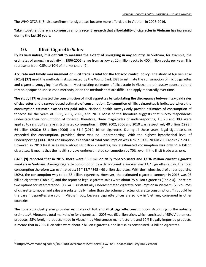The WHO GTCR-6 [8] also confirms that cigarettes became more affordable in Vietnam in 2008-2016.

**Taken together, there is a consensus among recent research that affordability of cigarettes in Vietnam has increased during the last 20 years.**

## <span id="page-21-0"></span>**10. Illicit Cigarette Sales**

**By its very nature, it is difficult to measure the extent of smuggling in any country.** In Vietnam, for example, the estimates of smuggling activity in 1996-2006 range from as low as 20 million packs to 400 million packs per year. This represents from 0.5% to 10% of market share [2].

**Accurate and timely measurement of illicit trade is vital for the tobacco control policy.** The study of Nguyen et al (2014) [37] used the methods first suggested by the World Bank [38] to estimate the consumption of illicit cigarettes and cigarette smuggling into Vietnam. Most existing estimates of illicit trade in Vietnam are industry sponsored and rely on opaque or undisclosed methods, or on the methods that are difficult to apply repeatedly over time.

**The study [37] estimated the consumption of illicit cigarettes by calculating the discrepancy between tax-paid sales of cigarettes and a survey-based estimate of consumption. Consumption of illicit cigarettes is indicated where the consumption estimate exceeds tax paid sales.** National health surveys only provide estimates of consumption of tobacco for the years of 1998, 2002, 2006, and 2010. Most of the literature suggests that survey respondents understate their consumption of tobacco; therefore, three magnitudes of under-reporting, 10, 20 and 30% were applied to sensitivity analysis. Estimated consumption in 1998, 2002, 2006 and 2010 was respectively 40 billion (1998); 64 billion (2002); 52 billion (2006) and 51.4 (2010) billion cigarettes. During all these years, legal cigarette sales exceeded the consumption, provided there was no underreporting. With the highest hypothetical level of underreporting (30%) illicit consumption as a share of total consumption was 16% in 1998, 20% in 2002 and 8% in 2006. However, in 2010 legal sales were about 88 billion cigarettes, while estimated consumption was only 51.4 billion cigarettes. It means that the health surveys underestimated consumption by 70%, even if the illicit trade was zero.

**GATS [9] reported that in 2015, there were 13.3 million daily tobacco users and 12.36 million current cigarette smokers in Vietnam.** Average cigarette consumption by a daily cigarette smoker was 13.7 cigarettes a day. The total consumption therefore was estimated at: 12 \* 13.7 \*365 = 60 billion cigarettes. With the highest level of underreporting (30%), the consumption was to be 78 billion cigarettes. However, the estimated cigarette turnover in 2015 was 93 billion cigarettes [\(Table 3\)](#page-12-1), and the reported legal cigarette sales were about 75 billion cigarettes [\(Table 4\)](#page-13-1). There are two options for interpretation: (1) GATS substantially underestimated cigarette consumption in Vietnam; (2) Volumes of cigarette turnover and sales are substantially higher than the volume of actual cigarette consumption. This could be the case if cigarettes are sold in Vietnam but, because cigarette prices are so low in Vietnam, consumed in other countries.

**The tobacco industry also provides estimates of licit and illicit cigarette consumption.** According to the industry estimates<sup>26</sup>, Vietnam's total market size for cigarettes in 2005 was 68 billion sticks which consisted of 65% Vietnamese products, 25% foreign products made in Vietnam by Vietnamese manufacturers and 10% illegally imported products. It means that in 2005 illicit sales were about 7 billion cigarettes, and licit sales constituted 61 billion cigarettes.

<sup>26</sup> http://www.mondaq.com/x/107018/Government+Statutory+Law/The+Tobacco+Industry+In+Vietnam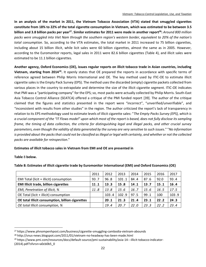**In an analysis of the market in 2011, the Vietnam Tobacco Association (VTA) stated that smuggled cigarettes constitute from 18% to 22% of the total cigarette consumption in Vietnam, which was estimated to be between 3.5 billion and 3.8 billion packs per year<sup>27</sup>. Similar estimates for 2011 were made in another report<sup>28</sup>:** *Around 800 million packs were smuggled into Viet Nam through the southern region's western border, equivalent to 20% of the nation's total consumption.* So, according to the VTA estimates, the total market in 2011 increased to 75 billion cigarettes, including about 15 billion illicit, while licit sales were 60 billion cigarettes, almost the same as in 2005. However, according to the Euromonitor reports, legal sales in 2011 were 82.6 billion cigarettes [\(Table 4\)](#page-13-1), and illicit sales were estimated to be 11.1 billion cigarettes.

**Another agency, Oxford Economics (OE), issues regular reports on illicit tobacco trade in Asian countries, including**  Vietnam, starting from 2014<sup>29</sup>. It openly states that OE prepared the reports in accordance with specific terms of reference agreed between Philip Morris International and OE. The key method used by ITIC-OE to estimate illicit cigarette sales is the Empty Pack Survey (EPS). The method uses the discarded (empty) cigarette packets collected from various places in the country to extrapolate and determine the size of the illicit cigarette segment. ITIC-OE indicates that PMI was a "participating company" for the EPS; so, most packs were actually collected by Philip Morris. South-East Asia Tobacco Control Alliance (SEATCA) offered a critique of the PMI funded report [39]. The author of the critique claimed that the figures and statistics presented in the report were "incorrect", "unverified/unverifiable", and "inconsistent with results from other studies" in the region. The author criticized the report's lack of transparency in relation to its EPS methodology used to estimate levels of illicit cigarette sales: "*The Empty Packs Survey (EPS), which is a crucial component of the "IT Flows model" upon which most of the report is based, does not fully disclose its sampling frame, the timing of data collection, the criteria for distinguishing legal and illegal packs, and other crucial survey parameters, even though the validity of data generated by the survey are very sensitive to such issues*." "*No information is provided about the packs that could not be classified as illegal or legal with certainty, and whether or not the collected packs are available for reinspection*."

#### **Estimates of illicit tobacco sales in Vietnam from EMI and OE are presented in**

<span id="page-22-0"></span>**[Table](#page-22-0)** 8 **below.**

l

|                                                  | 2011 | 2012  | 2013  | 2014 | 2015 | 2016 | 2017  |
|--------------------------------------------------|------|-------|-------|------|------|------|-------|
| EMI Total (licit + illicit) consumption          | 93.7 | 96.8  | 101.1 | 84.4 | 87.6 | 92.0 | 93.4  |
| <b>EMI Illicit trade, billion cigarettes</b>     | 11.1 | 13.3  | 15.8  | 14.1 | 13.7 | 15.1 | 16.4  |
| EMI, Penetration of illicit, %                   | 11.8 | 13.8  | 15.6  | 16.7 | 15.6 | 16.5 | 17.5  |
| OE Total (licit + illicit) consumption           |      | 103.4 | 102.9 | 97.5 | 99.1 | 100  | 103.9 |
| OE total Illicit consumption, billion cigarettes |      | 20.1  | 21.3  | 21.4 | 23.1 | 22.2 | 24.3  |
| OE total Illicit consumption, %                  |      | 19.4  | 20.7  | 22.0 | 23.3 | 22.2 | 23.4  |

#### **Table 8: Estimates of illicit cigarette trade by Euromonitor International (EMI) and Oxford Economics (OE)**

<sup>28</sup> http://snus-news.blogspot.com/2011/01/vietnam-no-headway-has-been-made.html

<sup>29</sup> https://www.pmi.com/resources/docs/default-source/pmi-sustainability/asia-14---illicit-tobacco-indicator- (2014).pdf?sfvrsn=a0cb0b5\_0

<sup>27</sup> https://www.phnompenhpost.com/business/cigarette-smuggling-cambodia-vietnam-abounds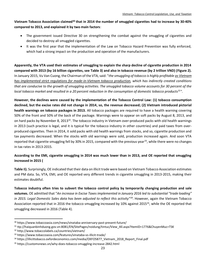**Vietnam Tobacco Association claimed<sup>30</sup> that in 2014 the number of smuggled cigarettes had to increase by 30-40% compared to 2013, and explained it by two main factors**:

- The government issued Directive 30 on strengthening the combat against the smuggling of cigarettes and decided to destroy all smuggled cigarettes.
- It was the first year that the implementation of the Law on Tobacco Hazard Prevention was fully enforced, which had a strong impact on the production and operation of the manufacturers.

**Apparently, the VTA used their estimates of smuggling to explain the sharp decline of cigarette production in 2014 compared with 2013 (by 16 billion cigarettes, see [Table 3\)](#page-12-1) and also in tobacco revenue (by 2 trillion VND) [\(Figure](#page-16-0) 2).** In January 2015, Vu Van Cuong, the Chairman of the VTA, said: "*the smuggling of tobacco is highly profitable as Vietnam has implemented strict regulations for made-in-Vietnam tobacco production, which has indirectly created conditions that are conducive to the growth of smuggling activities. The smuggled tobacco volume accounts for 30 percent of the local tobacco market and resulted in a 20 percent reduction in the consumption of domestic tobacco products<sup>31</sup> "*.

**However, the declines were caused by the implementation of the Tobacco Control Law: (1) tobacco consumption declined, but the excise rates did not change in 2014, so, the revenue decreased; (2) Vietnam introduced pictorial health warnings on tobacco packages in 2013.** All tobacco packages are required to have a health warning covering 50% of the front and 50% of the back of the package. Warnings were to appear on soft packs by August 8, 2013, and on hard packs by November 8, 2013<sup>32</sup>. The tobacco industry in Vietnam over-produced packs with old health warnings in 2013 (such practice is legal, and it is typical for the tobacco industry in other countries) and paid taxes from overproduced cigarettes. Then in 2014, it sold packs with old health warnings from stocks, and so, cigarette production and tax payments decreased. When the stocks with old warnings were sold, production increased again. And soon VTA reported that cigarette smuggling fell by 30% in 2015, compared with the previous year<sup>33</sup>, while there were no changes in tax rates in 2013-2015.

#### **According to the EMI, cigarette smuggling in 2014 was much lower than in 2013, and OE reported that smuggling increased in 2015 [\(](#page-22-0)**

**[Table](#page-22-0)** 8**).** Surprisingly, OE indicated that their data on illicit trade were based on Vietnam Tobacco Association estimates and PM data. So, VTA, EMI, and OE reported very different trends in cigarette smuggling in 2013-2015, making their estimates doubtful.

**Tobacco industry often tries to subvert the tobacco control policy by temporarily changing production and sale volumes.** OE admitted that "*An increase in Excise Taxes implemented in January 2016 led to substantial "trade loading" in 2015. Legal Domestic Sales data has been adjusted to reflect this activity"<sup>34</sup>* . However, again the Vietnam Tobacco Association reported that in 2016 the tobacco smuggling increased by 10% against 2015<sup>35</sup>, while the OE reported that smuggling decreased in 2016 [\(Table 4\)](#page-13-1).

<sup>30</sup> https://www.tobaccoasia.com/news/vinataba-anniversary-past-present-future/

<sup>31</sup> ttp://haiquanbinhduong.gov.vn:8081/EN/SitePages/noidung/tintuc/View\_All.aspx?ItemID=1776&ChuyenMuc=TSK

<sup>32</sup> http://www.tobaccolabels.ca/countries/vietnam/

<sup>33</sup> https://www.tobaccoasia.com/features/vinataba-vs-illicit-trade/

<sup>34</sup> https://illicittobacco.oxfordeconomics.com/media/OXFO5877 Vietnam 2018 Report Final.pdf

<sup>35</sup> https://customsnews.vn/why-does-tobacco-smuggling-increase-2842.html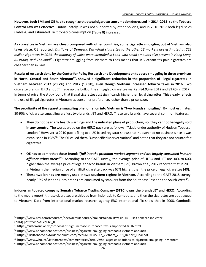**However, both EMI and OE had to recognize that total cigarette consumption decreased in 2014-2015, so the Tobacco Control Law was effective.** Unfortunately, it was not supported by other policies, and in 2016-2017 both legal sales [\(Table 4\)](#page-13-1) and estimated illicit tobacco consumption [\(Table 8\) increased.](#page-22-0) 

**[As cigar](#page-22-0)ettes in Vietnam are cheap compared with other countries, some cigarette smuggling out of Vietnam also takes place.** OE reported: *Outflows of Domestic Duty-Paid cigarettes to the other 13 markets are estimated at 222 million cigarettes in 2013, the majority of which were identified in Laos, with small amounts also present in Hong Kong,*  Australia, and Thailand<sup>36</sup>. Cigarette smuggling from Vietnam to Laos means that in Vietnam tax-paid cigarettes are cheaper than in Laos.

**Results of research done by the Center for Policy Research and Development on tobacco smuggling in three provinces in North, Central and South Vietnam<sup>37</sup>, showed a significant reduction in the proportion of illegal cigarettes in Vietnam between 2012 (20.7%) and 2017 (13.6%), even though Vietnam increased tobacco taxes in 2016.** Two cigarette brands HERO and JET made up the bulk of the smuggled cigarettes market (84.9% in 2012 and 83.6% in 2017). In terms of price, the study found that illegal cigarettes cost significantly higher than legal cigarettes. This clearly reflects the use of illegal cigarettes in Vietnam as consumer preference, rather than a price issue.

**The peculiarity of the cigarette smuggling phenomenon into Vietnam is "two brands smuggling".** By most estimates, 80-90% of cigarette smuggling are just two brands: JET and HERO. These two brands have several common features:

- **They do not bear any health warnings and the indicated place of production; so, they cannot be legally sold in any country.** The words typed on the HERO pack are as follows: "Made under authority of Hudson Tobacco, London." However, a 2010 public filing to a UK-based registrar shows that Hudson had no business since it was established in 1985<sup>38</sup>. The OE called them "Unspecified Market Variant" and noted that they are not counterfeit cigarettes.
- **OE has to admit that these brands "***fall into the premium market segment and are largely consumed in more* affluent urban areas"<sup>39</sup>. According to the GATS survey, the average price of HERO and JET are 30% to 60% higher than the average price of legal tobacco brands in Vietnam [29]. Brown et al, 2017 reported that in 2013 in Vietnam the median price of an illicit cigarette pack was 67% higher, than the price of legal cigarettes [40].
- **These two brands are mostly used in two southern regions in Vietnam.** According to the GATS 2015 survey, nearly 92% of Jet and Hero brands are consumed by smokers from the Southeast East and the South West<sup>40</sup>.

**Indonesian tobacco company Sumatra Tobacco Trading Company (STTC) owns the brands JET and HERO.** According to the media report<sup>41</sup>, these cigarettes are shipped from Indonesia to Cambodia, and then the cigarettes are bootlegged to Vietnam. Data from international market research agency ERC International Plc show that in 2008, Cambodia

<sup>36</sup> https://www.pmi.com/resources/docs/default-source/pmi-sustainability/asia-14---illicit-tobacco-indicator- (2014).pdf?sfvrsn=a0cb0b5\_0

<sup>37</sup> https://customsnews.vn/proposal-of-high-increase-in-tobacco-tax-is-supported-8516.html

<sup>38</sup> https://www.phnompenhpost.com/business/cigarette-smuggling-cambodia-vietnam-abounds

<sup>39</sup> https://illicittobacco.oxfordeconomics.com/media/OXFO5877\_Vietnam\_2018\_Report\_Final.pdf

<sup>40</sup> https://www.who.int/vietnam/news/commentaries/detail/who-suggests-solutions-to-cigarette-smuggling-in-vietnam

<sup>41</sup> https://www.phnompenhpost.com/business/cigarette-smuggling-cambodia-vietnam-abounds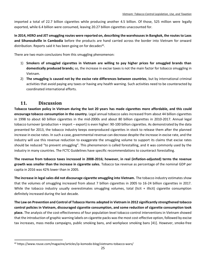imported a total of 22.7 billion cigarettes while producing another 4.5 billion. Of those, 525 million were legally exported, while 6.4 billion were consumed, leaving 20.27 billion cigarettes unaccounted for.

**In 2014, HERO and JET smuggling routes were reported on, describing the warehouses in Bangkok, the routes to Laos and Sihanoukville in Cambodia** before the products are hand carried across the border into Vietnam for onward distribution. Reports said it has been going on for decades $42$ .

There are two main conclusions from this smuggling phenomenon:

- 1) **Smokers of smuggled cigarettes in Vietnam are willing to pay higher prices for smuggled brands than domestically produced brands;** so, the increase in excise taxes is not the main factor for tobacco smuggling in Vietnam.
- 2) **The smuggling is caused not by the excise rate differences between countries**, but by international criminal activities that avoid paying any taxes or having any health warning. Such activities need to be counteracted by coordinated international efforts.

#### <span id="page-25-0"></span>**11. Discussion**

l

**Tobacco taxation policy in Vietnam during the last 20 years has made cigarettes more affordable, and this could encourage tobacco consumption in the country.** Legal annual tobacco sales increased from about 44 billion cigarettes in 1998 to about 60 billion cigarettes in the mid-2000s and about 80 billion cigarettes in 2010-2017. Annual legal tobacco turnover (production + import – export) is even higher: 90-100 billion cigarettes. As demonstrated by the data presented for 2013, the tobacco industry keeps overproduced cigarettes in stock to release them after the planned increase in excise rates. In such a case, governmental revenue can decrease despite the increase in excise rate, and the industry will use this revenue reduction to exaggerate the smuggling volume to support its claims that excise rates should be reduced "to prevent smuggling". This phenomenon is called forestalling, and it was commonly used by the industry in many countries. The FCTC Guidelines have specific recommendations to counteract forestalling.

**The revenue from tobacco taxes increased in 2008-2016; however, in real (inflation-adjusted) terms the revenue growth was smaller than the increase in cigarette sales.** Tobacco tax revenue as percentage of the nominal GDP per capita in 2016 was 42% lower than in 2005.

**The increase in legal sales did not discourage cigarette smuggling into Vietnam.** The tobacco industry estimates show that the volumes of smuggling increased from about 7 billion cigarettes in 2005 to 16-24 billion cigarettes in 2017. While the tobacco industry usually overestimates smuggling volumes, total (licit + illicit) cigarette consumption definitely increased during the last decade.

**The Law on Prevention and Control of Tobacco Harms adopted in Vietnam in 2012 significantly strengthened tobacco control policies in Vietnam, discouraged cigarette consumption, and some reduction of cigarette consumption took place.** The analysis of the cost-effectiveness of four population-level tobacco control interventions in Vietnam showed that the introduction of graphic warning labels on cigarette packs was the most cost-effective option, followed by excise tax increases, mass media campaigns, public smoking bans, and workplace smoking bans [41]. However, smoke-free

<sup>42</sup> https://www.rouse.com/magazine/articles/ip-komodo-blog/vietnams-tobacco-wars/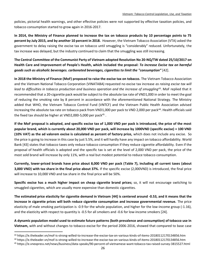policies, pictorial health warnings, and other effective policies were not supported by effective taxation policies, and tobacco consumption started to grow again in 2016-2017.

**In 2014, the Ministry of Finance planned to increase the tax on tobacco products by 10 percentage points to 75 percent by July 2015, and by another 10 percent in 2018.** However, the Vietnam Tobacco Association (VTA) asked the government to delay raising the excise tax on tobacco until smuggling is "considerably" reduced. Unfortunately, the tax increase was delayed, but the industry continued to claim that the smuggling was still increasing.

**The Central Committee of the Communist Party of Vietnam adopted Resolution No 20-NQ/TW dated 25/10/2017 on Health Care and Improvement of People's Health, which included the proposal:** *To increase Excise tax on harmful goods such as alcoholic beverages. carbonated beverages, cigarettes to limit the "consumption"* [42].

**In 2018 the Ministry of Finance (MoF) proposed to raise the excise tax on tobacco.** The Vietnam Tobacco Association and the Vietnam National Tobacco Corporation (VINATABA) requested no excise tax increase *as raising excise tax will*  lead to difficulties in tobacco production and business operation and the increase of smuggling<sup>43</sup>. MoF replied that it recommended that a 20-cigarette pack would be subject to the absolute tax rate of VND1,000 in order to meet the goal of reducing the smoking rate by 8 percent in accordance with the aforementioned National Strategy. The Ministry added that WHO, the Vietnam Tobacco Control Fund (VNTCF) and the Vietnam Public Health Association advised increasing the absolute tax rate on tobacco pack from VND1,000 per pack to VND 2,000 per pack<sup>44</sup>. Health officials said the fixed tax should be higher at VND2,000-5,000 per pack<sup>45</sup>.

**If the MoF proposal is adopted, and specific excise tax of 1,000 VND per pack is introduced, the price of the most popular brand, which is currently about 20,000 VND per pack, will increase by 1000VND (specific excise) + 100 VND (10% VAT) as the ad valorem excise is calculated as percent of factory price,** which does not include any excise. So the price is going to increase in this case by just 5.5%, and it will hardly have any impact on tobacco affordability. World Bank [43] states that tobacco taxes only reduce tobacco consumption if they reduce cigarette affordability. Even if the proposal of health officials is adopted and the specific tax is set at the level of 2,000 VND per pack, the price of the most sold brand will increase by only 11%, with a real but modest potential to reduce tobacco consumption.

**Currently, lower-priced brands have price about 8,000 VND per pack [\(Table 7\)](#page-20-1), including all current taxes (about 3,000 VND) with tax share in the final price about 37%.** If the specific excise (2,000VND) is introduced, the final price will increase to 10,000 VND and tax share in the final price will be 50%.

**Specific excise has a much higher impact on cheap cigarette brand prices;** so, it will not encourage switching to smuggled cigarettes, which are usually more expensive than domestic cigarettes.

**The estimated price elasticity for cigarette demand in Vietnam [44] is centered around -0.53, and it means that the increase in cigarette prices will both reduce cigarette consumption and increase governmental revenue.** The price elasticity of male smoking participation is -0.9 for the whole population, and higher for the low-income group (-1.16), and the elasticity with respect to quantity is -0.5 for all smokers and -0.6 for low-income smokers [24].

**A dynamic population model used to estimate future patterns (both prevalence and consumption) of tobacco use in Vietnam,** with and without changes to tobacco excise for the period 2006-2016, showed that compared to base case

<sup>43</sup> https://e.theleader.vn/mof-is-strong-willed-to-increase-the-excise-tax-on-various-kinds-of-items-20180112170134856.htm

<sup>44</sup> https://e.theleader.vn/mof-is-strong-willed-to-increase-the-excise-tax-on-various-kinds-of-items-20180112170134856.htm

<sup>45</sup> https://e.vnexpress.net/news/business/data-speaks/90-percent-of-vietnamese-want-tobacco-tax-raised-survey-3815527.html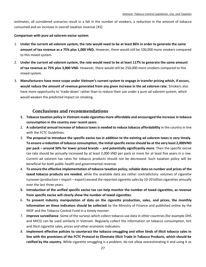estimates, all considered scenarios result in a fall in the number of smokers, a reduction in the amount of tobacco consumed and an increase in overall taxation revenue [45].

#### **Comparison with pure ad valorem excise system**

- 1. **Under the current ad valorem system, the rate would need to be at least 86% in order to generate the same amount of tax revenue as a 75% plus 1,000 VND.** However, there would still be 100,000 more smokers compared to this mixed system.
- 2. **Under the current ad valorem system, the rate would need to be at least 117% to generate the same amount of tax revenue as 75% plus 3,000 VND.** However, there would still be 250,000 more smokers compared to this mixed system.
- 3. **Manufacturers have more scope under Vietnam's current system to engage in transfer pricing which, if occurs, would reduce the amount of revenue generated from any given increase in the ad valorem rate.** Smokers also have more opportunity to 'trade-down' rather than to reduce their use under a pure ad valorem system, which would weaken the predicted impact on smoking.

#### <span id="page-27-0"></span>**Conclusions and recommendations**

- **1. Tobacco taxation policy in Vietnam made cigarettes more affordable and encouraged the increase in tobacco consumption in the country over recent years.**
- 2. **A substantial annual increase of tobacco taxes is needed to reduce tobacco affordability** in the country in line with the FCTC Guidelines.
- 3. **The proposal to introduce the specific excise tax in addition to the existing ad valorem taxes is very timely. To ensure a reduction of tobacco consumption, the initial specific excise should be at the very least 2,000VND per pack – around 50% for lower priced brands -- and potentially significantly more**. Then the specific excise tax rate should be annually increased by at least 2,000 VND per pack or more for at least five years in a row. Current ad valorem tax rates for tobacco products should not be decreased. Such taxation policy will be beneficial for both public health and governmental revenue.
- 4. **To ensure the effective implementation of tobacco taxation policy, reliable data on number and prices of the taxed tobacco products are needed**, while the available data are rather contradictory: volumes of cigarette turnover (production + import – export) exceed the reported cigarette sales by 10-20 billion cigarettes annually over the last three years.
- **5. Introduction of the unified specific excise tax can help monitor the number of taxed cigarettes, as revenue from specific excise will clearly show the number of taxed cigarettes.**
- 6. **To prevent industry manipulation of data on the cigarette production, sales, and prices, the monthly information on these indicators should be collected** by the Ministry of Finance and published online by the MOF and the Tobacco Control Fund in a timely manner.
- 7. **Improve surveillance**. Some of the surveys which collect tobacco use data in other countries (for example DHS and MICS) can be used similarly in Vietnam. Regularly collect the information on tobacco consumption, licit and illicit cigarette sales, prices and other economic indicators.
- *8.* **Implement effective policies to counteract the tobacco smuggling and other kinds of illicit tobacco sales in line with the provisions of the FCTC Protocol to Eliminate Illicit Trade in Tobacco Products, which should be ratified by the country.** While cigarette smuggling is a problem, do not allow overestimating it and using it as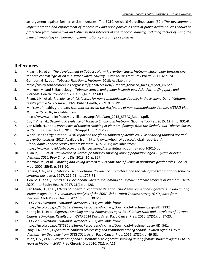an argument against further excise increases. The FCTC Article 6 Guidelines state [32]: *The development, implementation and enforcement of tobacco tax and price policies as part of public health policies should be protected from commercial and other vested interests of the tobacco industry, including tactics of using the issue of smuggling in hindering implementation of tax and price policies.*

#### <span id="page-28-0"></span>**References**

- 1. Higashi, H., et al., *The development of Tobacco Harm Prevention Law in Vietnam: stakeholder tensions over tobacco control legislation in a state owned industry.* Subst Abuse Treat Prev Policy, 2011. **6**: p. 24.
- 2. Guindon, G.E., et al. *Tobacco Taxation in Vietnam*. 2010; Available from: https://www.tobaccofreekids.org/assets/global/pdfs/en/Vietnam\_tobacco\_taxes\_report\_en.pdf.
- 3. Morrow, M. and S. Barraclough, *Tobacco control and gender in south-east Asia. Part II: Singapore and Vietnam.* Health Promot Int, 2003. **18**(4): p. 373-80.
- 4. Pham, L.H., et al., *Prevalence of risk factors for non-communicable diseases in the Mekong Delta, Vietnam: results from a STEPS survey.* BMC Public Health, 2009. **9**: p. 291.
- 5. Ministry of health, g.d.o.p.m. *National survey on the risk factors of non-communicable diseases (STEPS) Viet Nam, 2015*. 2016; Available from:

https://www.who.int/ncds/surveillance/steps/VietNam\_2015\_STEPS\_Report.pdf.

- 6. Bui, T.V., et al., *Declining Prevalence of Tobacco Smoking in Vietnam.* Nicotine Tob Res, 2015. **17**(7): p. 831-8.
- 7. Van Minh, H., et al., *Prevalence of tobacco smoking in Vietnam: findings from the Global Adult Tobacco Survey 2015.* Int J Public Health, 2017. **62**(Suppl 1): p. 121-129.
- 8. World Health Organization. *WHO report on the global tobacco epidemic 2017. Monitoring tobacco use and prevention policies*. 2017; Available from: http://www.who.int/tobacco/global\_report/en/.
- 9. *Global Adult Tobacco Survey Report Vietnam 2015*. 2015; Available from: https://www.who.int/tobacco/surveillance/survey/gats/vietnam-country-report-2015.pdf.
- 10. Xuan le, T.T., et al., *Prevalence of waterpipe tobacco smoking among population aged 15 years or older, Vietnam, 2010.* Prev Chronic Dis, 2013. **10**: p. E57.
- 11. Morrow, M., et al., *Smoking and young women in Vietnam: the influence of normative gender roles.* Soc Sci Med, 2002. **55**(4): p. 681-90.
- 12. Jenkins, C.N., et al., *Tobacco use in Vietnam. Prevalence, predictors, and the role of the transnational tobacco corporations.* Jama, 1997. **277**(21): p. 1726-31.
- 13. Kien, V.D., et al., *Trends in socioeconomic inequalities among adult male hardcore smokers in Vietnam: 2010- 2015.* Int J Equity Health, 2017. **16**(1): p. 126.
- 14. Van Minh, H., et al., *Effects of individual characteristics and school environment on cigarette smoking among students ages 13-15: A multilevel analysis of the 2007 Global Youth Tobacco Survey (GYTS) data from Vietnam.* Glob Public Health, 2011. **6**(3): p. 307-19.
- 15. *GYTS 2014 Vietnam - National Factsheet*. 2014; Available from: https://nccd.cdc.gov/GTSSDataSurveyResources/Ancillary/DownloadAttachment.aspx?ID=1332.
- 16. Huong le, T., et al., *Cigarette Smoking among Adolescents aged 13-15 in Viet Nam and Correlates of Current Cigarette Smoking: Results from GYTS 2014 Data.* Asian Pac J Cancer Prev, 2016. **17**(S1): p. 17-23.
- 17. *GYTS 2007 Vietnam - National Factsheet*. 2007; Available from: https://nccd.cdc.gov/GTSSDataSurveyResources/Ancillary/DownloadAttachment.aspx?ID=541.
- 18. Long, T.K., et al., *Exposure to Tobacco Advertising and Promotion among School Children Aged 13-15 in Vietnam - an Overview from GYTS 2014.* Asian Pac J Cancer Prev, 2016. **17**(S1): p. 49-53.
- 19. Minh, H.V., et al., *Prevalence of and susceptibility to cigarette smoking among female students aged 13 to 15 years in Vietnam, 2007.* Prev Chronic Dis, 2010. **7**(1): p. A11.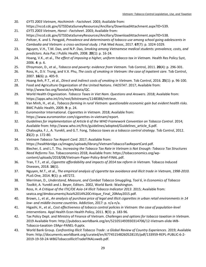- 20. *GYTS 2003 Vietnam, Hochiminh - Factsheet*. 2003; Available from: https://nccd.cdc.gov/GTSSDataSurveyResources/Ancillary/DownloadAttachment.aspx?ID=539.
- 21. *GYTS 2003 Vietnam, Hanoi - Factsheet*. 2003; Available from: https://nccd.cdc.gov/GTSSDataSurveyResources/Ancillary/DownloadAttachment.aspx?ID=538.
- 22. Peltzer, K. and S. Pengpid, *Prevalence and determinants of tobacco use among school going adolescents in Cambodia and Vietnam: a cross-sectional study.* J Pak Med Assoc, 2017. **67**(7): p. 1024-1029.
- 23. Nguyen, V.H., T.M. Dao, and N.P. Dao, *Smoking among Vietnamese medical students: prevalence, costs, and predictors.* Asia Pac J Public Health, 2008. **20**(1): p. 16-24.
- 24. Hoang, V.K., et al., *The effect of imposing a higher, uniform tobacco tax in Vietnam.* Health Res Policy Syst, 2006. **4**: p. 6.
- 25. Efroymson, D., et al., *Tobacco and poverty: evidence from Vietnam.* Tob Control, 2011. **20**(4): p. 296-301.
- 26. Ross, H., D.V. Trung, and V.X. Phu, *The costs of smoking in Vietnam: the case of inpatient care.* Tob Control, 2007. **16**(6): p. 405-9.
- 27. Hoang Anh, P.T., et al., *Direct and indirect costs of smoking in Vietnam.* Tob Control, 2016. **25**(1): p. 96-100.
- 28. Food and Agriculture Organization of the United Nations. *FAOSTAT*. 2017; Available from: http://www.fao.org/faostat/en/#data/QC.
- 29. World Health Organization. *Tobacco Taxes in Viet Nam. Questions and Answers*. 2018; Available from: https://apps.who.int/iris/rest/bitstreams/1148386/retrieve.
- 30. Van Minh, H., et al., *Tobacco farming in rural Vietnam: questionable economic gain but evident health risks.* BMC Public Health, 2009. **9**: p. 24.
- 31. Euromonitor International. *Cigarettes in Vietnam*. 2018; Available from: https://www.euromonitor.com/cigarettes-in-vietnam/report.
- 32. *Guidelines for implementation of Article 6 of the WHO Framework Convention on Tobacco Control*. 2014; Available from: http://www.who.int/fctc/guidelines/adopted/Guidelines\_article\_6.pdf.
- 33. Chaloupka, F.J., A. Yurekli, and G.T. Fong, *Tobacco taxes as a tobacco control strategy.* Tob Control, 2012. **21**(2): p. 172-80.
- 34. *Vietnam Tobacco Tax Report Card*. 2017; Available from: https://healthbridge.ca/images/uploads/library/VietnamTobaccoTaxReportCard.pdf.
- 35. Blecher, E. and L.T. Thu. *Increasing the Tobacco Tax Rate in Vietnam is Not Enough: Tobacco Tax Structures Need Reforms Too*. Tobacconomics 2018; Available from: https://tobacconomics.org/wpcontent/uploads/2018/08/Vietnam-Paper-Policy-Brief-FINAL.pdf.
- 36. Tran, T.T., et al., *Cigarette affordability and impacts of 2014 tax reform in Vietnam.* Tobacco Induced Diseases, 2018. **16**(1).
- 37. Nguyen, M.T., et al., *The empirical analysis of cigarette tax avoidance and illicit trade in Vietnam, 1998-2010.* PLoS One, 2014. **9**(1): p. e87272.
- 38. Merriman, D., *Understand, Measure, and Combat Tobacco Smuggling, Tool 6*, in *Economics of Tobacco Toolkit*, A. Yurekli and J. Beyer, Editors. 2002, World Bank: Washington.
- 39. Ross, H. *A Critique of the ITIC/OE Asia‐14 Illicit Tobacco Indicator 2013*. 2015; Available from: seatca.org/dmdocuments/Asia%2014%20Critique\_Final\_20May2015.pdf.
- 40. Brown, J., et al., *An analysis of purchase price of legal and illicit cigarettes in urban retail environments in 14 low- and middle-income countries.* Addiction, 2017: p. n/a-n/a.
- 41. Higashi, H., et al., *Cost effectiveness of tobacco control policies in Vietnam: the case of population-level interventions.* Appl Health Econ Health Policy, 2011. **9**(3): p. 183-96.
- 42. Tax Policy Dept. and Ministry of Finance of Vietnam. *Challenges and options for tobacco taxation in Vietnam*. 2019 Available from: http://pubdocs.worldbank.org/en/521051493930314706/12-Vietnam-slide-WB-Tobacco-taxation-19Apr-PANEL-9.pptx.
- 43. World Bank Group. *Confronting Illicit Tobacco Trade : a Global Review of Country Experiences*. 2019; Available from: http://documents.worldbank.org/curated/en/677451548260528135/pdf/133959-REPL-PUBLIC-6-2- 2019-19-59-24-WBGTobaccoIllicitTradeFINALvweb.pdf.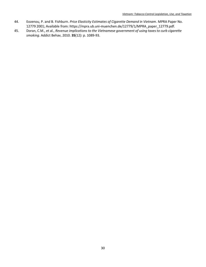- 44. Eozenou, P. and B. Fishburn. *Price Elasticity Estimates of Cigarette Demand in Vietnam*. MPRA Paper No. 12779 2001; Available from: https://mpra.ub.uni-muenchen.de/12779/1/MPRA\_paper\_12779.pdf.
- 45. Doran, C.M., et al., *Revenue implications to the Vietnamese government of using taxes to curb cigarette smoking.* Addict Behav, 2010. **35**(12): p. 1089-93.